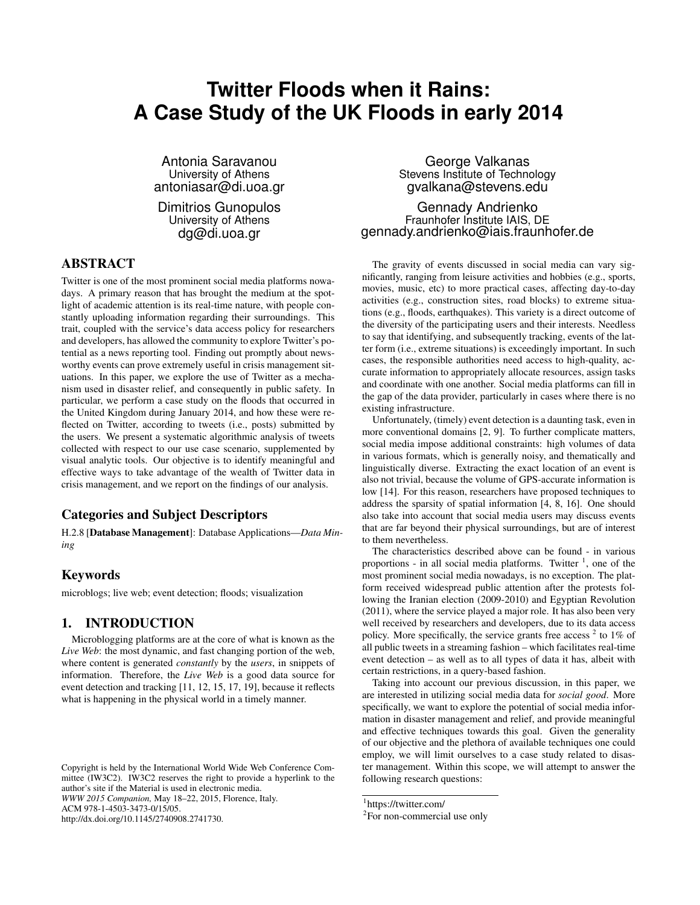# **Twitter Floods when it Rains: A Case Study of the UK Floods in early 2014**

Antonia Saravanou University of Athens antoniasar@di.uoa.gr

Dimitrios Gunopulos University of Athens dg@di.uoa.gr

# ABSTRACT

Twitter is one of the most prominent social media platforms nowadays. A primary reason that has brought the medium at the spotlight of academic attention is its real-time nature, with people constantly uploading information regarding their surroundings. This trait, coupled with the service's data access policy for researchers and developers, has allowed the community to explore Twitter's potential as a news reporting tool. Finding out promptly about newsworthy events can prove extremely useful in crisis management situations. In this paper, we explore the use of Twitter as a mechanism used in disaster relief, and consequently in public safety. In particular, we perform a case study on the floods that occurred in the United Kingdom during January 2014, and how these were reflected on Twitter, according to tweets (i.e., posts) submitted by the users. We present a systematic algorithmic analysis of tweets collected with respect to our use case scenario, supplemented by visual analytic tools. Our objective is to identify meaningful and effective ways to take advantage of the wealth of Twitter data in crisis management, and we report on the findings of our analysis.

# Categories and Subject Descriptors

H.2.8 [Database Management]: Database Applications—*Data Mining*

# Keywords

microblogs; live web; event detection; floods; visualization

## 1. INTRODUCTION

Microblogging platforms are at the core of what is known as the *Live Web*: the most dynamic, and fast changing portion of the web, where content is generated *constantly* by the *users*, in snippets of information. Therefore, the *Live Web* is a good data source for event detection and tracking [11, 12, 15, 17, 19], because it reflects what is happening in the physical world in a timely manner.

http://dx.doi.org/10.1145/2740908.2741730.

George Valkanas Stevens Institute of Technology gvalkana@stevens.edu

Gennady Andrienko Fraunhofer Institute IAIS, DE gennady.andrienko@iais.fraunhofer.de

The gravity of events discussed in social media can vary significantly, ranging from leisure activities and hobbies (e.g., sports, movies, music, etc) to more practical cases, affecting day-to-day activities (e.g., construction sites, road blocks) to extreme situations (e.g., floods, earthquakes). This variety is a direct outcome of the diversity of the participating users and their interests. Needless to say that identifying, and subsequently tracking, events of the latter form (i.e., extreme situations) is exceedingly important. In such cases, the responsible authorities need access to high-quality, accurate information to appropriately allocate resources, assign tasks and coordinate with one another. Social media platforms can fill in the gap of the data provider, particularly in cases where there is no existing infrastructure.

Unfortunately, (timely) event detection is a daunting task, even in more conventional domains [2, 9]. To further complicate matters, social media impose additional constraints: high volumes of data in various formats, which is generally noisy, and thematically and linguistically diverse. Extracting the exact location of an event is also not trivial, because the volume of GPS-accurate information is low [14]. For this reason, researchers have proposed techniques to address the sparsity of spatial information [4, 8, 16]. One should also take into account that social media users may discuss events that are far beyond their physical surroundings, but are of interest to them nevertheless.

The characteristics described above can be found - in various proportions - in all social media platforms. Twitter  $\frac{1}{1}$ , one of the most prominent social media nowadays, is no exception. The platform received widespread public attention after the protests following the Iranian election (2009-2010) and Egyptian Revolution (2011), where the service played a major role. It has also been very well received by researchers and developers, due to its data access policy. More specifically, the service grants free access  $2$  to 1% of all public tweets in a streaming fashion – which facilitates real-time event detection – as well as to all types of data it has, albeit with certain restrictions, in a query-based fashion.

Taking into account our previous discussion, in this paper, we are interested in utilizing social media data for *social good*. More specifically, we want to explore the potential of social media information in disaster management and relief, and provide meaningful and effective techniques towards this goal. Given the generality of our objective and the plethora of available techniques one could employ, we will limit ourselves to a case study related to disaster management. Within this scope, we will attempt to answer the following research questions:

Copyright is held by the International World Wide Web Conference Committee (IW3C2). IW3C2 reserves the right to provide a hyperlink to the author's site if the Material is used in electronic media. *WWW 2015 Companion,* May 18–22, 2015, Florence, Italy. ACM 978-1-4503-3473-0/15/05.

<sup>1</sup> https://twitter.com/

<sup>&</sup>lt;sup>2</sup>For non-commercial use only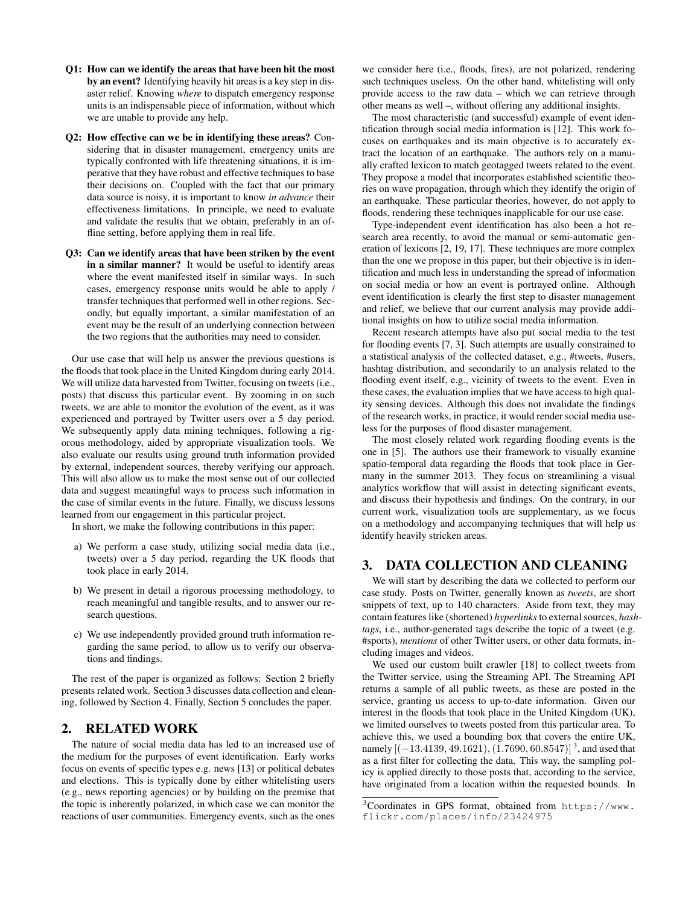- Q1: How can we identify the areas that have been hit the most by an event? Identifying heavily hit areas is a key step in disaster relief. Knowing *where* to dispatch emergency response units is an indispensable piece of information, without which we are unable to provide any help.
- Q2: How effective can we be in identifying these areas? Considering that in disaster management, emergency units are typically confronted with life threatening situations, it is imperative that they have robust and effective techniques to base their decisions on. Coupled with the fact that our primary data source is noisy, it is important to know *in advance* their effectiveness limitations. In principle, we need to evaluate and validate the results that we obtain, preferably in an offline setting, before applying them in real life.
- Q3: Can we identify areas that have been striken by the event in a similar manner? It would be useful to identify areas where the event manifested itself in similar ways. In such cases, emergency response units would be able to apply / transfer techniques that performed well in other regions. Secondly, but equally important, a similar manifestation of an event may be the result of an underlying connection between the two regions that the authorities may need to consider.

Our use case that will help us answer the previous questions is the floods that took place in the United Kingdom during early 2014. We will utilize data harvested from Twitter, focusing on tweets (i.e., posts) that discuss this particular event. By zooming in on such tweets, we are able to monitor the evolution of the event, as it was experienced and portrayed by Twitter users over a 5 day period. We subsequently apply data mining techniques, following a rigorous methodology, aided by appropriate visualization tools. We also evaluate our results using ground truth information provided by external, independent sources, thereby verifying our approach. This will also allow us to make the most sense out of our collected data and suggest meaningful ways to process such information in the case of similar events in the future. Finally, we discuss lessons learned from our engagement in this particular project.

In short, we make the following contributions in this paper:

- a) We perform a case study, utilizing social media data (i.e., tweets) over a 5 day period, regarding the UK floods that took place in early 2014.
- b) We present in detail a rigorous processing methodology, to reach meaningful and tangible results, and to answer our research questions.
- c) We use independently provided ground truth information regarding the same period, to allow us to verify our observations and findings.

The rest of the paper is organized as follows: Section 2 briefly presents related work. Section 3 discusses data collection and cleaning, followed by Section 4. Finally, Section 5 concludes the paper.

# 2. RELATED WORK

The nature of social media data has led to an increased use of the medium for the purposes of event identification. Early works focus on events of specific types e.g. news [13] or political debates and elections. This is typically done by either whitelisting users (e.g., news reporting agencies) or by building on the premise that the topic is inherently polarized, in which case we can monitor the reactions of user communities. Emergency events, such as the ones

we consider here (i.e., floods, fires), are not polarized, rendering such techniques useless. On the other hand, whitelisting will only provide access to the raw data – which we can retrieve through other means as well –, without offering any additional insights.

The most characteristic (and successful) example of event identification through social media information is [12]. This work focuses on earthquakes and its main objective is to accurately extract the location of an earthquake. The authors rely on a manually crafted lexicon to match geotagged tweets related to the event. They propose a model that incorporates established scientific theories on wave propagation, through which they identify the origin of an earthquake. These particular theories, however, do not apply to floods, rendering these techniques inapplicable for our use case.

Type-independent event identification has also been a hot research area recently, to avoid the manual or semi-automatic generation of lexicons [2, 19, 17]. These techniques are more complex than the one we propose in this paper, but their objective is in identification and much less in understanding the spread of information on social media or how an event is portrayed online. Although event identification is clearly the first step to disaster management and relief, we believe that our current analysis may provide additional insights on how to utilize social media information.

Recent research attempts have also put social media to the test for flooding events [7, 3]. Such attempts are usually constrained to a statistical analysis of the collected dataset, e.g., #tweets, #users, hashtag distribution, and secondarily to an analysis related to the flooding event itself, e.g., vicinity of tweets to the event. Even in these cases, the evaluation implies that we have access to high quality sensing devices. Although this does not invalidate the findings of the research works, in practice, it would render social media useless for the purposes of flood disaster management.

The most closely related work regarding flooding events is the one in [5]. The authors use their framework to visually examine spatio-temporal data regarding the floods that took place in Germany in the summer 2013. They focus on streamlining a visual analytics workflow that will assist in detecting significant events, and discuss their hypothesis and findings. On the contrary, in our current work, visualization tools are supplementary, as we focus on a methodology and accompanying techniques that will help us identify heavily stricken areas.

# 3. DATA COLLECTION AND CLEANING

We will start by describing the data we collected to perform our case study. Posts on Twitter, generally known as *tweets*, are short snippets of text, up to 140 characters. Aside from text, they may contain features like (shortened) *hyperlinks*to external sources, *hashtags*, i.e., author-generated tags describe the topic of a tweet (e.g. #sports), *mentions* of other Twitter users, or other data formats, including images and videos.

We used our custom built crawler [18] to collect tweets from the Twitter service, using the Streaming API. The Streaming API returns a sample of all public tweets, as these are posted in the service, granting us access to up-to-date information. Given our interest in the floods that took place in the United Kingdom (UK), we limited ourselves to tweets posted from this particular area. To achieve this, we used a bounding box that covers the entire UK, namely  $[(-13.4139, 49.1621), (1.7690, 60.8547)]^3$ , and used that as a first filter for collecting the data. This way, the sampling policy is applied directly to those posts that, according to the service, have originated from a location within the requested bounds. In

<sup>3</sup>Coordinates in GPS format, obtained from https://www. flickr.com/places/info/23424975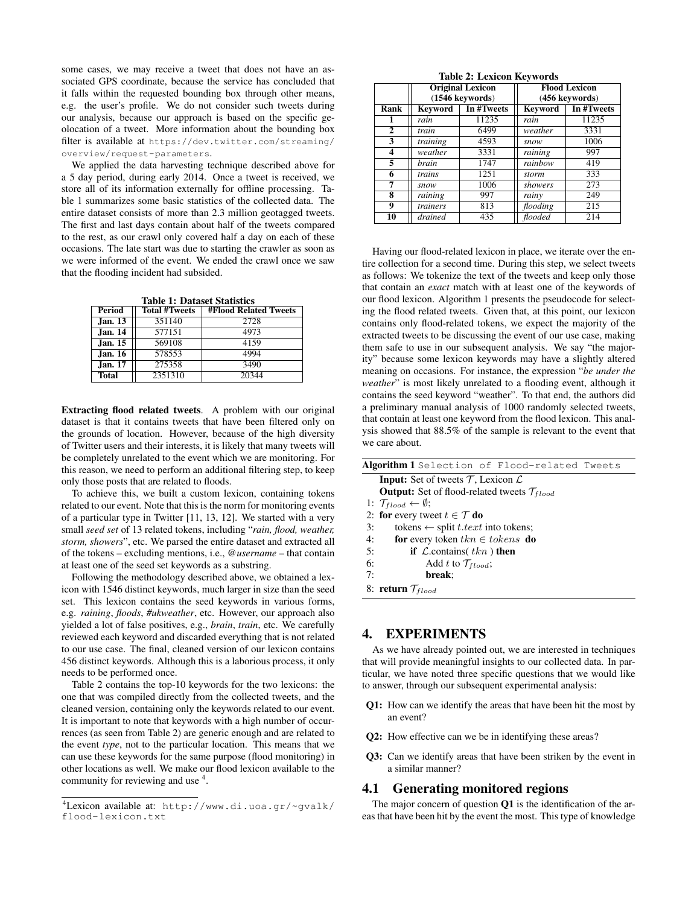some cases, we may receive a tweet that does not have an associated GPS coordinate, because the service has concluded that it falls within the requested bounding box through other means, e.g. the user's profile. We do not consider such tweets during our analysis, because our approach is based on the specific geolocation of a tweet. More information about the bounding box filter is available at https://dev.twitter.com/streaming/ overview/request-parameters.

We applied the data harvesting technique described above for a 5 day period, during early 2014. Once a tweet is received, we store all of its information externally for offline processing. Table 1 summarizes some basic statistics of the collected data. The entire dataset consists of more than 2.3 million geotagged tweets. The first and last days contain about half of the tweets compared to the rest, as our crawl only covered half a day on each of these occasions. The late start was due to starting the crawler as soon as we were informed of the event. We ended the crawl once we saw that the flooding incident had subsided.

Table 1: Dataset Statistics

| <b>Period</b>  | <b>Total #Tweets</b> | <b>#Flood Related Tweets</b> |  |
|----------------|----------------------|------------------------------|--|
| Jan. 13        | 351140               | 2728                         |  |
| <b>Jan. 14</b> | 577151               | 4973                         |  |
| Jan. 15        | 569108               | 4159                         |  |
| Jan. 16        | 578553               | 4994                         |  |
| Jan. 17        | 275358               | 3490                         |  |
| Total          | 2351310              | 20344                        |  |

Extracting flood related tweets. A problem with our original dataset is that it contains tweets that have been filtered only on the grounds of location. However, because of the high diversity of Twitter users and their interests, it is likely that many tweets will be completely unrelated to the event which we are monitoring. For this reason, we need to perform an additional filtering step, to keep only those posts that are related to floods.

To achieve this, we built a custom lexicon, containing tokens related to our event. Note that this is the norm for monitoring events of a particular type in Twitter [11, 13, 12]. We started with a very small *seed set* of 13 related tokens, including "*rain, flood, weather, storm, showers*", etc. We parsed the entire dataset and extracted all of the tokens – excluding mentions, i.e., @*username* – that contain at least one of the seed set keywords as a substring.

Following the methodology described above, we obtained a lexicon with 1546 distinct keywords, much larger in size than the seed set. This lexicon contains the seed keywords in various forms, e.g. *raining*, *floods*, *#ukweather*, etc. However, our approach also yielded a lot of false positives, e.g., *brain*, *train*, etc. We carefully reviewed each keyword and discarded everything that is not related to our use case. The final, cleaned version of our lexicon contains 456 distinct keywords. Although this is a laborious process, it only needs to be performed once.

Table 2 contains the top-10 keywords for the two lexicons: the one that was compiled directly from the collected tweets, and the cleaned version, containing only the keywords related to our event. It is important to note that keywords with a high number of occurrences (as seen from Table 2) are generic enough and are related to the event *type*, not to the particular location. This means that we can use these keywords for the same purpose (flood monitoring) in other locations as well. We make our flood lexicon available to the community for reviewing and use <sup>4</sup>.

Table 2: Lexicon Keywords

|             | <b>Original Lexicon</b><br>(1546 keywords) |            | <b>Flood Lexicon</b><br>(456 keywords) |            |
|-------------|--------------------------------------------|------------|----------------------------------------|------------|
| <b>Rank</b> | Kevword                                    | In #Tweets | <b>Keyword</b>                         | In #Tweets |
|             | rain                                       | 11235      | rain                                   | 11235      |
| 2           | train                                      | 6499       | weather                                | 3331       |
| 3           | training                                   | 4593       | snow                                   | 1006       |
| 4           | weather                                    | 3331       | raining                                | 997        |
| 5           | brain                                      | 1747       | rainbow                                | 419        |
| 6           | trains                                     | 1251       | storm                                  | 333        |
| 7           | snow                                       | 1006       | showers                                | 273        |
| 8           | raining                                    | 997        | rainy                                  | 249        |
| 9           | trainers                                   | 813        | flooding                               | 215        |
| 10          | drained                                    | 435        | flooded                                | 214        |

Having our flood-related lexicon in place, we iterate over the entire collection for a second time. During this step, we select tweets as follows: We tokenize the text of the tweets and keep only those that contain an *exact* match with at least one of the keywords of our flood lexicon. Algorithm 1 presents the pseudocode for selecting the flood related tweets. Given that, at this point, our lexicon contains only flood-related tokens, we expect the majority of the extracted tweets to be discussing the event of our use case, making them safe to use in our subsequent analysis. We say "the majority" because some lexicon keywords may have a slightly altered meaning on occasions. For instance, the expression "*be under the weather*" is most likely unrelated to a flooding event, although it contains the seed keyword "weather". To that end, the authors did a preliminary manual analysis of 1000 randomly selected tweets, that contain at least one keyword from the flood lexicon. This analysis showed that 88.5% of the sample is relevant to the event that we care about.

| Algorithm 1 Selection of Flood-related Tweets                     |  |  |  |  |
|-------------------------------------------------------------------|--|--|--|--|
| <b>Input:</b> Set of tweets $\mathcal{T}$ , Lexicon $\mathcal{L}$ |  |  |  |  |
| <b>Output:</b> Set of flood-related tweets $\mathcal{T}_{fload}$  |  |  |  |  |
| 1: $\mathcal{T}_{flood} \leftarrow \emptyset$ ;                   |  |  |  |  |
| 2: for every tweet $t \in \mathcal{T}$ do                         |  |  |  |  |
| tokens $\leftarrow$ split <i>t.text</i> into tokens;<br>3:        |  |  |  |  |
| <b>for</b> every token $tkn \in tokens$ <b>do</b><br>4:           |  |  |  |  |
| <b>if</b> $\mathcal{L}$ contains( $tkn$ ) then<br>5:              |  |  |  |  |
| 6:<br>Add t to $\mathcal{T}_{flood}$ ;                            |  |  |  |  |
| 7:<br>break:                                                      |  |  |  |  |
| 8: return $\mathcal{T}_{flood}$                                   |  |  |  |  |

# 4. EXPERIMENTS

As we have already pointed out, we are interested in techniques that will provide meaningful insights to our collected data. In particular, we have noted three specific questions that we would like to answer, through our subsequent experimental analysis:

- Q1: How can we identify the areas that have been hit the most by an event?
- Q2: How effective can we be in identifying these areas?
- Q3: Can we identify areas that have been striken by the event in a similar manner?

#### 4.1 Generating monitored regions

The major concern of question  $Q1$  is the identification of the areas that have been hit by the event the most. This type of knowledge

<sup>4</sup>Lexicon available at: http://www.di.uoa.gr/~gvalk/ flood-lexicon.txt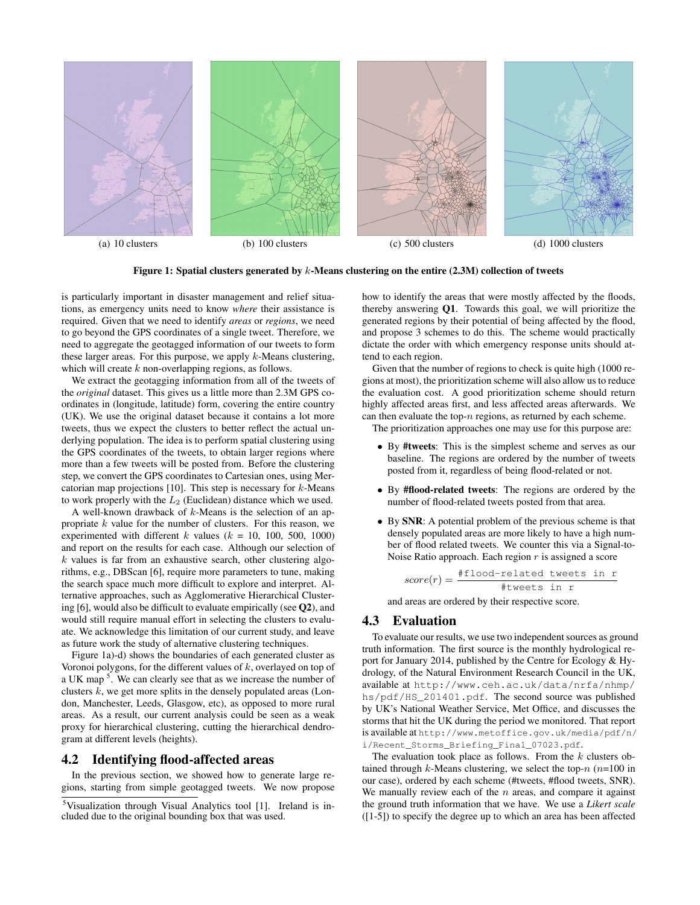

Figure 1: Spatial clusters generated by  $k$ -Means clustering on the entire (2.3M) collection of tweets

is particularly important in disaster management and relief situations, as emergency units need to know *where* their assistance is required. Given that we need to identify *areas* or *regions*, we need to go beyond the GPS coordinates of a single tweet. Therefore, we need to aggregate the geotagged information of our tweets to form these larger areas. For this purpose, we apply  $k$ -Means clustering, which will create k non-overlapping regions, as follows.

We extract the geotagging information from all of the tweets of the *original* dataset. This gives us a little more than 2.3M GPS coordinates in (longitude, latitude) form, covering the entire country (UK). We use the original dataset because it contains a lot more tweets, thus we expect the clusters to better reflect the actual underlying population. The idea is to perform spatial clustering using the GPS coordinates of the tweets, to obtain larger regions where more than a few tweets will be posted from. Before the clustering step, we convert the GPS coordinates to Cartesian ones, using Mercatorian map projections  $[10]$ . This step is necessary for  $k$ -Means to work properly with the  $L_2$  (Euclidean) distance which we used.

A well-known drawback of  $k$ -Means is the selection of an appropriate  $k$  value for the number of clusters. For this reason, we experimented with different k values ( $k = 10, 100, 500, 1000$ ) and report on the results for each case. Although our selection of  $k$  values is far from an exhaustive search, other clustering algorithms, e.g., DBScan [6], require more parameters to tune, making the search space much more difficult to explore and interpret. Alternative approaches, such as Agglomerative Hierarchical Clustering  $[6]$ , would also be difficult to evaluate empirically (see  $Q2$ ), and would still require manual effort in selecting the clusters to evaluate. We acknowledge this limitation of our current study, and leave as future work the study of alternative clustering techniques.

Figure 1a)-d) shows the boundaries of each generated cluster as Voronoi polygons, for the different values of  $k$ , overlayed on top of a UK map<sup>5</sup>. We can clearly see that as we increase the number of clusters  $k$ , we get more splits in the densely populated areas (London, Manchester, Leeds, Glasgow, etc), as opposed to more rural areas. As a result, our current analysis could be seen as a weak proxy for hierarchical clustering, cutting the hierarchical dendrogram at different levels (heights).

## 4.2 Identifying flood-affected areas

In the previous section, we showed how to generate large regions, starting from simple geotagged tweets. We now propose how to identify the areas that were mostly affected by the floods, thereby answering Q1. Towards this goal, we will prioritize the generated regions by their potential of being affected by the flood, and propose 3 schemes to do this. The scheme would practically dictate the order with which emergency response units should attend to each region.

Given that the number of regions to check is quite high (1000 regions at most), the prioritization scheme will also allow us to reduce the evaluation cost. A good prioritization scheme should return highly affected areas first, and less affected areas afterwards. We can then evaluate the top- $n$  regions, as returned by each scheme.

The prioritization approaches one may use for this purpose are:

- By #tweets: This is the simplest scheme and serves as our baseline. The regions are ordered by the number of tweets posted from it, regardless of being flood-related or not.
- By #flood-related tweets: The regions are ordered by the number of flood-related tweets posted from that area.
- By SNR: A potential problem of the previous scheme is that densely populated areas are more likely to have a high number of flood related tweets. We counter this via a Signal-to-Noise Ratio approach. Each region  $r$  is assigned a score

$$
score(r) = \frac{\# \text{flood-related tweets in } r}{\# \text{tweets in } r}
$$

and areas are ordered by their respective score.

## 4.3 Evaluation

To evaluate our results, we use two independent sources as ground truth information. The first source is the monthly hydrological report for January 2014, published by the Centre for Ecology & Hydrology, of the Natural Environment Research Council in the UK, available at http://www.ceh.ac.uk/data/nrfa/nhmp/ hs/pdf/HS\_201401.pdf. The second source was published by UK's National Weather Service, Met Office, and discusses the storms that hit the UK during the period we monitored. That report is available at http://www.metoffice.gov.uk/media/pdf/n/ i/Recent\_Storms\_Briefing\_Final\_07023.pdf.

The evaluation took place as follows. From the  $k$  clusters obtained through  $k$ -Means clustering, we select the top- $n$  ( $n=100$  in our case), ordered by each scheme (#tweets, #flood tweets, SNR). We manually review each of the  $n$  areas, and compare it against the ground truth information that we have. We use a *Likert scale* ([1-5]) to specify the degree up to which an area has been affected

<sup>5</sup>Visualization through Visual Analytics tool [1]. Ireland is included due to the original bounding box that was used.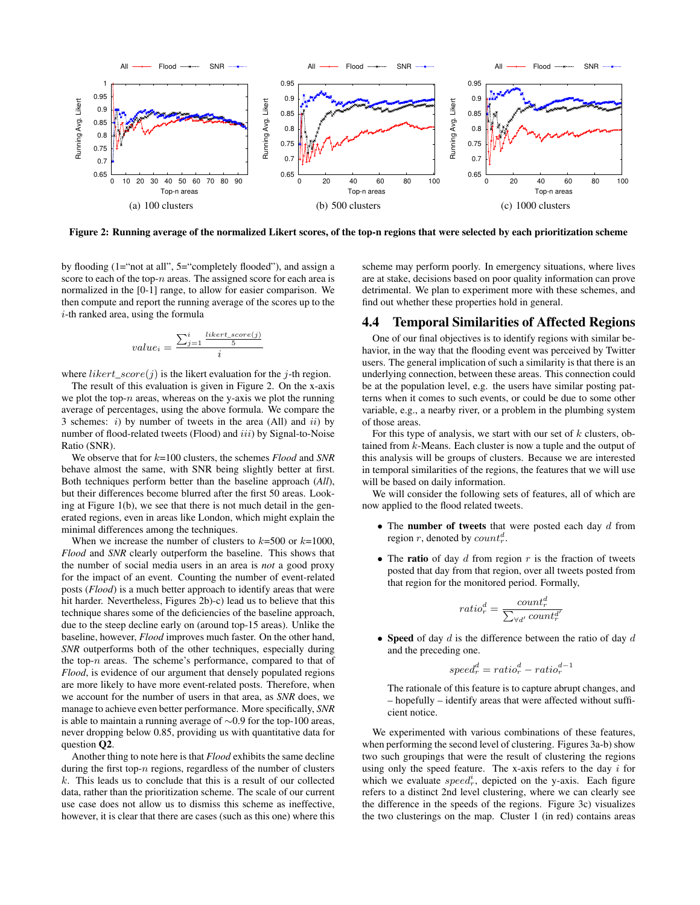

Figure 2: Running average of the normalized Likert scores, of the top-n regions that were selected by each prioritization scheme

by flooding (1="not at all", 5="completely flooded"), and assign a score to each of the top- $n$  areas. The assigned score for each area is normalized in the [0-1] range, to allow for easier comparison. We then compute and report the running average of the scores up to the i-th ranked area, using the formula

$$
value_i = \frac{\sum_{j=1}^{i}\frac{likert\_score(j)}{5}}{i}
$$

where *likert*  $score(j)$  is the likert evaluation for the j-th region.

The result of this evaluation is given in Figure 2. On the x-axis we plot the top- $n$  areas, whereas on the y-axis we plot the running average of percentages, using the above formula. We compare the 3 schemes:  $i)$  by number of tweets in the area (All) and  $ii)$  by number of flood-related tweets (Flood) and iii) by Signal-to-Noise Ratio (SNR).

We observe that for k=100 clusters, the schemes *Flood* and *SNR* behave almost the same, with SNR being slightly better at first. Both techniques perform better than the baseline approach (*All*), but their differences become blurred after the first 50 areas. Looking at Figure 1(b), we see that there is not much detail in the generated regions, even in areas like London, which might explain the minimal differences among the techniques.

When we increase the number of clusters to  $k=500$  or  $k=1000$ , *Flood* and *SNR* clearly outperform the baseline. This shows that the number of social media users in an area is *not* a good proxy for the impact of an event. Counting the number of event-related posts (*Flood*) is a much better approach to identify areas that were hit harder. Nevertheless, Figures 2b)-c) lead us to believe that this technique shares some of the deficiencies of the baseline approach, due to the steep decline early on (around top-15 areas). Unlike the baseline, however, *Flood* improves much faster. On the other hand, *SNR* outperforms both of the other techniques, especially during the top- $n$  areas. The scheme's performance, compared to that of *Flood*, is evidence of our argument that densely populated regions are more likely to have more event-related posts. Therefore, when we account for the number of users in that area, as *SNR* does, we manage to achieve even better performance. More specifically, *SNR* is able to maintain a running average of ∼0.9 for the top-100 areas, never dropping below 0.85, providing us with quantitative data for question Q2.

Another thing to note here is that *Flood* exhibits the same decline during the first top- $n$  regions, regardless of the number of clusters k. This leads us to conclude that this is a result of our collected data, rather than the prioritization scheme. The scale of our current use case does not allow us to dismiss this scheme as ineffective, however, it is clear that there are cases (such as this one) where this scheme may perform poorly. In emergency situations, where lives are at stake, decisions based on poor quality information can prove detrimental. We plan to experiment more with these schemes, and find out whether these properties hold in general.

## 4.4 Temporal Similarities of Affected Regions

One of our final objectives is to identify regions with similar behavior, in the way that the flooding event was perceived by Twitter users. The general implication of such a similarity is that there is an underlying connection, between these areas. This connection could be at the population level, e.g. the users have similar posting patterns when it comes to such events, or could be due to some other variable, e.g., a nearby river, or a problem in the plumbing system of those areas.

For this type of analysis, we start with our set of  $k$  clusters, obtained from k-Means. Each cluster is now a tuple and the output of this analysis will be groups of clusters. Because we are interested in temporal similarities of the regions, the features that we will use will be based on daily information.

We will consider the following sets of features, all of which are now applied to the flood related tweets.

- The number of tweets that were posted each day  $d$  from region r, denoted by  $count_r^d$ .
- The ratio of day  $d$  from region  $r$  is the fraction of tweets posted that day from that region, over all tweets posted from that region for the monitored period. Formally,

$$
ratio_r^d = \frac{count_r^d}{\sum_{\forall d'} count_r^{d'}}
$$

• Speed of day  $d$  is the difference between the ratio of day  $d$ and the preceding one.

$$
speed_r^d = ratio_r^d - ratio_r^{d-1}
$$

The rationale of this feature is to capture abrupt changes, and – hopefully – identify areas that were affected without sufficient notice.

We experimented with various combinations of these features, when performing the second level of clustering. Figures 3a-b) show two such groupings that were the result of clustering the regions using only the speed feature. The x-axis refers to the day  $i$  for which we evaluate  $speed_r^i$ , depicted on the y-axis. Each figure refers to a distinct 2nd level clustering, where we can clearly see the difference in the speeds of the regions. Figure 3c) visualizes the two clusterings on the map. Cluster 1 (in red) contains areas